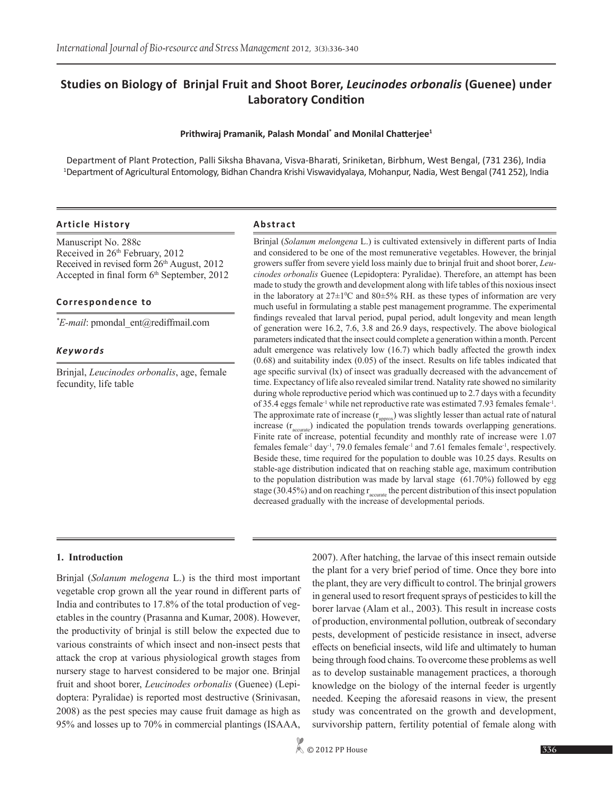# **Studies on Biology of Brinjal Fruit and Shoot Borer,** *Leucinodes orbonalis* **(Guenee) under Laboratory Condition**

#### **Prithwiraj Pramanik, Palash Mondal\* and Monilal Chatterjee<sup>1</sup>**

Department of Plant Protection, Palli Siksha Bhavana, Visva-Bharati, Sriniketan, Birbhum, West Bengal, (731 236), India 1 Department of Agricultural Entomology, Bidhan Chandra Krishi Viswavidyalaya, Mohanpur, Nadia, West Bengal (741 252), India

#### **Article History Abstract**

Manuscript No. 288c Received in 26<sup>th</sup> February, 2012 Received in revised form 26<sup>th</sup> August, 2012 Accepted in final form 6<sup>th</sup> September, 2012

#### **Correspondence to**

*\* E-mail*: pmondal\_ent@rediffmail.com

#### *Keywords*

Brinjal, *Leucinodes orbonalis*, age, female fecundity, life table

Brinjal (*Solanum melongena* L.) is cultivated extensively in different parts of India and considered to be one of the most remunerative vegetables. However, the brinjal growers suffer from severe yield loss mainly due to brinjal fruit and shoot borer, *Leucinodes orbonalis* Guenee (Lepidoptera: Pyralidae). Therefore, an attempt has been made to study the growth and development along with life tables of this noxious insect in the laboratory at  $27 \pm 10^{\circ}$ C and  $80 \pm 5\%$  RH. as these types of information are very much useful in formulating a stable pest management programme. The experimental findings revealed that larval period, pupal period, adult longevity and mean length of generation were 16.2, 7.6, 3.8 and 26.9 days, respectively. The above biological parameters indicated that the insect could complete a generation within a month. Percent adult emergence was relatively low (16.7) which badly affected the growth index (0.68) and suitability index (0.05) of the insect. Results on life tables indicated that age specific survival (lx) of insect was gradually decreased with the advancement of time. Expectancy of life also revealed similar trend. Natality rate showed no similarity during whole reproductive period which was continued up to 2.7 days with a fecundity of 35.4 eggs female-1 while net reproductive rate was estimated 7.93 females female-1. The approximate rate of increase  $(r_{\text{anorox}})$  was slightly lesser than actual rate of natural increase  $(r_{\text{accurate}})$  indicated the population trends towards overlapping generations. Finite rate of increase, potential fecundity and monthly rate of increase were 1.07 females female-1 day-1, 79.0 females female-1 and 7.61 females female-1, respectively. Beside these, time required for the population to double was 10.25 days. Results on stable-age distribution indicated that on reaching stable age, maximum contribution to the population distribution was made by larval stage (61.70%) followed by egg stage (30.45%) and on reaching  $r_{\text{accurate}}$  the percent distribution of this insect population decreased gradually with the increase of developmental periods.

#### **1. Introduction**

Brinjal (*Solanum melogena* L.) is the third most important vegetable crop grown all the year round in different parts of India and contributes to 17.8% of the total production of vegetables in the country (Prasanna and Kumar, 2008). However, the productivity of brinjal is still below the expected due to various constraints of which insect and non-insect pests that attack the crop at various physiological growth stages from nursery stage to harvest considered to be major one. Brinjal fruit and shoot borer, *Leucinodes orbonalis* (Guenee) (Lepidoptera: Pyralidae) is reported most destructive (Srinivasan, 2008) as the pest species may cause fruit damage as high as 95% and losses up to 70% in commercial plantings (ISAAA,

2007). After hatching, the larvae of this insect remain outside the plant for a very brief period of time. Once they bore into the plant, they are very difficult to control. The brinjal growers in general used to resort frequent sprays of pesticides to kill the borer larvae (Alam et al., 2003). This result in increase costs of production, environmental pollution, outbreak of secondary pests, development of pesticide resistance in insect, adverse effects on beneficial insects, wild life and ultimately to human being through food chains. To overcome these problems as well as to develop sustainable management practices, a thorough knowledge on the biology of the internal feeder is urgently needed. Keeping the aforesaid reasons in view, the present study was concentrated on the growth and development, survivorship pattern, fertility potential of female along with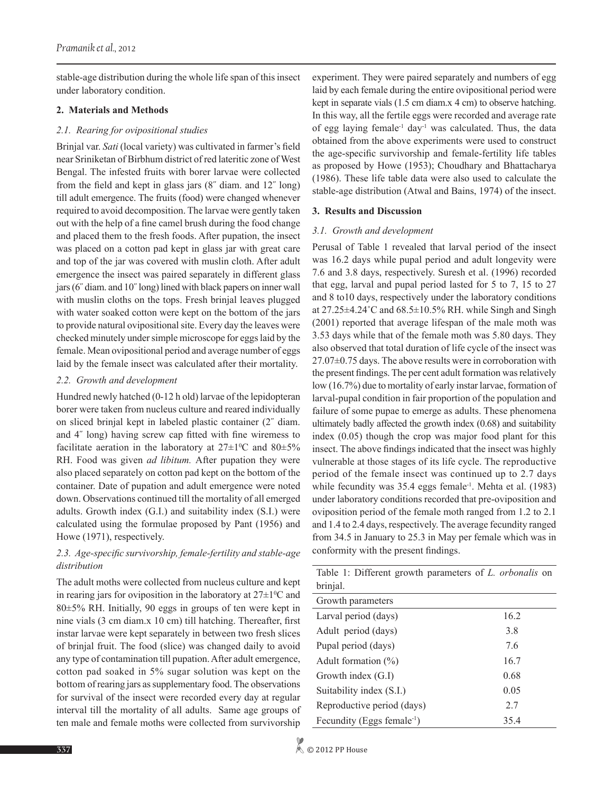stable-age distribution during the whole life span of this insect under laboratory condition.

#### **2. Materials and Methods**

## *2.1. Rearing for ovipositional studies*

Brinjal var. *Sati* (local variety) was cultivated in farmer's field near Sriniketan of Birbhum district of red lateritic zone of West Bengal. The infested fruits with borer larvae were collected from the field and kept in glass jars (8˝ diam. and 12˝ long) till adult emergence. The fruits (food) were changed whenever required to avoid decomposition. The larvae were gently taken out with the help of a fine camel brush during the food change and placed them to the fresh foods. After pupation, the insect was placed on a cotton pad kept in glass jar with great care and top of the jar was covered with muslin cloth. After adult emergence the insect was paired separately in different glass jars (6˝ diam. and 10˝ long) lined with black papers on inner wall with muslin cloths on the tops. Fresh brinjal leaves plugged with water soaked cotton were kept on the bottom of the jars to provide natural ovipositional site. Every day the leaves were checked minutely under simple microscope for eggs laid by the female. Mean ovipositional period and average number of eggs laid by the female insect was calculated after their mortality.

# *2.2. Growth and development*

Hundred newly hatched (0-12 h old) larvae of the lepidopteran borer were taken from nucleus culture and reared individually on sliced brinjal kept in labeled plastic container (2˝ diam. and 4˝ long) having screw cap fitted with fine wiremess to facilitate aeration in the laboratory at  $27 \pm 10^{\circ}$  and  $80 \pm 5\%$ RH. Food was given *ad libitum.* After pupation they were also placed separately on cotton pad kept on the bottom of the container. Date of pupation and adult emergence were noted down. Observations continued till the mortality of all emerged adults. Growth index (G.I.) and suitability index (S.I.) were calculated using the formulae proposed by Pant (1956) and Howe (1971), respectively.

# *2.3. Age-specific survivorship, female-fertility and stable-age distribution*

The adult moths were collected from nucleus culture and kept in rearing jars for oviposition in the laboratory at  $27\pm1\textsuperscript{o}$  and 80±5% RH. Initially, 90 eggs in groups of ten were kept in nine vials (3 cm diam.x 10 cm) till hatching. Thereafter, first instar larvae were kept separately in between two fresh slices of brinjal fruit. The food (slice) was changed daily to avoid any type of contamination till pupation. After adult emergence, cotton pad soaked in 5% sugar solution was kept on the bottom of rearing jars as supplementary food. The observations for survival of the insect were recorded every day at regular interval till the mortality of all adults. Same age groups of ten male and female moths were collected from survivorship

experiment. They were paired separately and numbers of egg laid by each female during the entire ovipositional period were kept in separate vials (1.5 cm diam.x 4 cm) to observe hatching. In this way, all the fertile eggs were recorded and average rate of egg laying female<sup>-1</sup> day<sup>-1</sup> was calculated. Thus, the data obtained from the above experiments were used to construct the age-specific survivorship and female-fertility life tables as proposed by Howe (1953); Choudhary and Bhattacharya (1986). These life table data were also used to calculate the stable-age distribution (Atwal and Bains, 1974) of the insect.

# **3. Results and Discussion**

# *3.1. Growth and development*

Perusal of Table 1 revealed that larval period of the insect was 16.2 days while pupal period and adult longevity were 7.6 and 3.8 days, respectively. Suresh et al. (1996) recorded that egg, larval and pupal period lasted for 5 to 7, 15 to 27 and 8 to10 days, respectively under the laboratory conditions at  $27.25\pm4.24\degree$ C and  $68.5\pm10.5\%$  RH. while Singh and Singh (2001) reported that average lifespan of the male moth was 3.53 days while that of the female moth was 5.80 days. They also observed that total duration of life cycle of the insect was  $27.07\pm0.75$  days. The above results were in corroboration with the present findings. The per cent adult formation was relatively low (16.7%) due to mortality of early instar larvae, formation of larval-pupal condition in fair proportion of the population and failure of some pupae to emerge as adults. These phenomena ultimately badly affected the growth index (0.68) and suitability index (0.05) though the crop was major food plant for this insect. The above findings indicated that the insect was highly vulnerable at those stages of its life cycle. The reproductive period of the female insect was continued up to 2.7 days while fecundity was 35.4 eggs female<sup>-1</sup>. Mehta et al. (1983) under laboratory conditions recorded that pre-oviposition and oviposition period of the female moth ranged from 1.2 to 2.1 and 1.4 to 2.4 days, respectively. The average fecundity ranged from 34.5 in January to 25.3 in May per female which was in conformity with the present findings.

| Table 1: Different growth parameters of <i>L. orbonalis</i> on |      |
|----------------------------------------------------------------|------|
| brinjal.                                                       |      |
| Growth parameters                                              |      |
| Larval period (days)                                           | 16.2 |
| Adult period (days)                                            | 3.8  |
| Pupal period (days)                                            | 7.6  |
| Adult formation $(\%)$                                         | 16.7 |
| Growth index $(G.I)$                                           | 0.68 |
| Suitability index (S.I.)                                       | 0.05 |
| Reproductive period (days)                                     | 27   |
| Fecundity (Eggs female <sup>-1</sup> )                         | 35.4 |

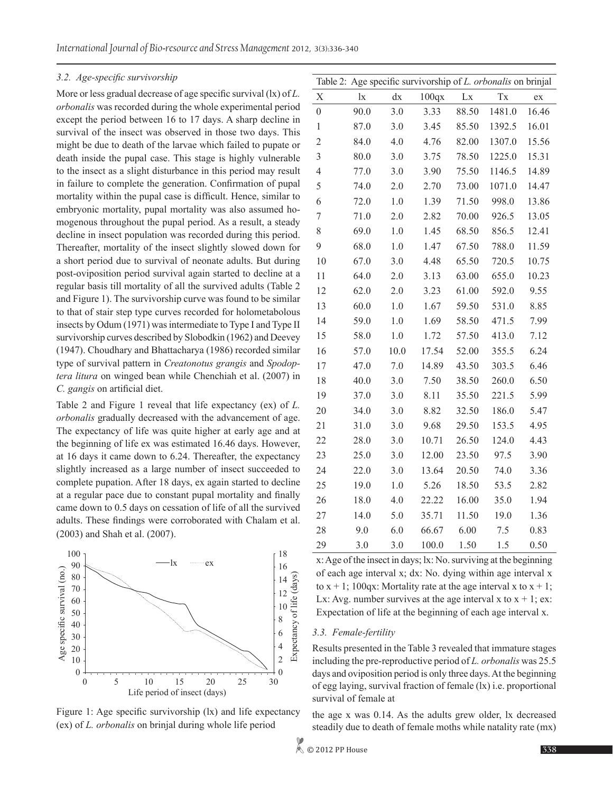#### *3.2. Age-specific survivorship*

More or less gradual decrease of age specific survival (lx) of *L. orbonalis* was recorded during the whole experimental period except the period between 16 to 17 days. A sharp decline in survival of the insect was observed in those two days. This might be due to death of the larvae which failed to pupate or death inside the pupal case. This stage is highly vulnerable to the insect as a slight disturbance in this period may result in failure to complete the generation. Confirmation of pupal mortality within the pupal case is difficult. Hence, similar to embryonic mortality, pupal mortality was also assumed homogenous throughout the pupal period. As a result, a steady decline in insect population was recorded during this period. Thereafter, mortality of the insect slightly slowed down for a short period due to survival of neonate adults. But during post-oviposition period survival again started to decline at a regular basis till mortality of all the survived adults (Table 2 and Figure 1). The survivorship curve was found to be similar to that of stair step type curves recorded for holometabolous insects by Odum (1971) was intermediate to Type I and Type II survivorship curves described by Slobodkin (1962) and Deevey (1947). Choudhary and Bhattacharya (1986) recorded similar type of survival pattern in *Creatonotus grangis* and *Spodoptera litura* on winged bean while Chenchiah et al. (2007) in *C. gangis* on artificial diet.

Table 2 and Figure 1 reveal that life expectancy (ex) of *L. orbonalis* gradually decreased with the advancement of age. The expectancy of life was quite higher at early age and at the beginning of life ex was estimated 16.46 days. However, at 16 days it came down to 6.24. Thereafter, the expectancy slightly increased as a large number of insect succeeded to complete pupation. After 18 days, ex again started to decline at a regular pace due to constant pupal mortality and finally came down to 0.5 days on cessation of life of all the survived adults. These findings were corroborated with Chalam et al. (2003) and Shah et al. (2007).



Figure 1: Age specific survivorship (lx) and life expectancy (ex) of *L. orbonalis* on brinjal during whole life period

|                  |       |         |       |       | Table 2: Age specific survivorship of L. orbonalis on brinjal |       |
|------------------|-------|---------|-------|-------|---------------------------------------------------------------|-------|
| X                | $\lg$ | dx      | 100qx | Lx    | Tx                                                            | ex    |
| $\boldsymbol{0}$ | 90.0  | 3.0     | 3.33  | 88.50 | 1481.0                                                        | 16.46 |
| $\mathbf{1}$     | 87.0  | 3.0     | 3.45  | 85.50 | 1392.5                                                        | 16.01 |
| $\overline{c}$   | 84.0  | 4.0     | 4.76  | 82.00 | 1307.0                                                        | 15.56 |
| $\mathfrak{Z}$   | 80.0  | 3.0     | 3.75  | 78.50 | 1225.0                                                        | 15.31 |
| $\overline{4}$   | 77.0  | 3.0     | 3.90  | 75.50 | 1146.5                                                        | 14.89 |
| 5                | 74.0  | 2.0     | 2.70  | 73.00 | 1071.0                                                        | 14.47 |
| 6                | 72.0  | 1.0     | 1.39  | 71.50 | 998.0                                                         | 13.86 |
| 7                | 71.0  | 2.0     | 2.82  | 70.00 | 926.5                                                         | 13.05 |
| 8                | 69.0  | 1.0     | 1.45  | 68.50 | 856.5                                                         | 12.41 |
| 9                | 68.0  | $1.0\,$ | 1.47  | 67.50 | 788.0                                                         | 11.59 |
| 10               | 67.0  | 3.0     | 4.48  | 65.50 | 720.5                                                         | 10.75 |
| 11               | 64.0  | 2.0     | 3.13  | 63.00 | 655.0                                                         | 10.23 |
| 12               | 62.0  | 2.0     | 3.23  | 61.00 | 592.0                                                         | 9.55  |
| 13               | 60.0  | $1.0\,$ | 1.67  | 59.50 | 531.0                                                         | 8.85  |
| 14               | 59.0  | 1.0     | 1.69  | 58.50 | 471.5                                                         | 7.99  |
| 15               | 58.0  | $1.0\,$ | 1.72  | 57.50 | 413.0                                                         | 7.12  |
| 16               | 57.0  | 10.0    | 17.54 | 52.00 | 355.5                                                         | 6.24  |
| 17               | 47.0  | 7.0     | 14.89 | 43.50 | 303.5                                                         | 6.46  |
| 18               | 40.0  | 3.0     | 7.50  | 38.50 | 260.0                                                         | 6.50  |
| 19               | 37.0  | 3.0     | 8.11  | 35.50 | 221.5                                                         | 5.99  |
| 20               | 34.0  | 3.0     | 8.82  | 32.50 | 186.0                                                         | 5.47  |
| 21               | 31.0  | 3.0     | 9.68  | 29.50 | 153.5                                                         | 4.95  |
| 22               | 28.0  | 3.0     | 10.71 | 26.50 | 124.0                                                         | 4.43  |
| 23               | 25.0  | 3.0     | 12.00 | 23.50 | 97.5                                                          | 3.90  |
| 24               | 22.0  | 3.0     | 13.64 | 20.50 | 74.0                                                          | 3.36  |
| 25               | 19.0  | $1.0\,$ | 5.26  | 18.50 | 53.5                                                          | 2.82  |
| 26               | 18.0  | 4.0     | 22.22 | 16.00 | 35.0                                                          | 1.94  |
| 27               | 14.0  | 5.0     | 35.71 | 11.50 | 19.0                                                          | 1.36  |
| 28               | 9.0   | 6.0     | 66.67 | 6.00  | 7.5                                                           | 0.83  |
| 29               | 3.0   | 3.0     | 100.0 | 1.50  | 1.5                                                           | 0.50  |

x: Age of the insect in days; lx: No. surviving at the beginning of each age interval x; dx: No. dying within age interval x to  $x + 1$ ; 100qx: Mortality rate at the age interval x to  $x + 1$ ; Lx: Avg. number survives at the age interval x to  $x + 1$ ; ex: Expectation of life at the beginning of each age interval x.

## *3.3. Female-fertility*

Results presented in the Table 3 revealed that immature stages including the pre-reproductive period of *L. orbonalis* was 25.5 days and oviposition period is only three days. At the beginning of egg laying, survival fraction of female (lx) i.e. proportional survival of female at

the age x was 0.14. As the adults grew older, lx decreased steadily due to death of female moths while natality rate (mx)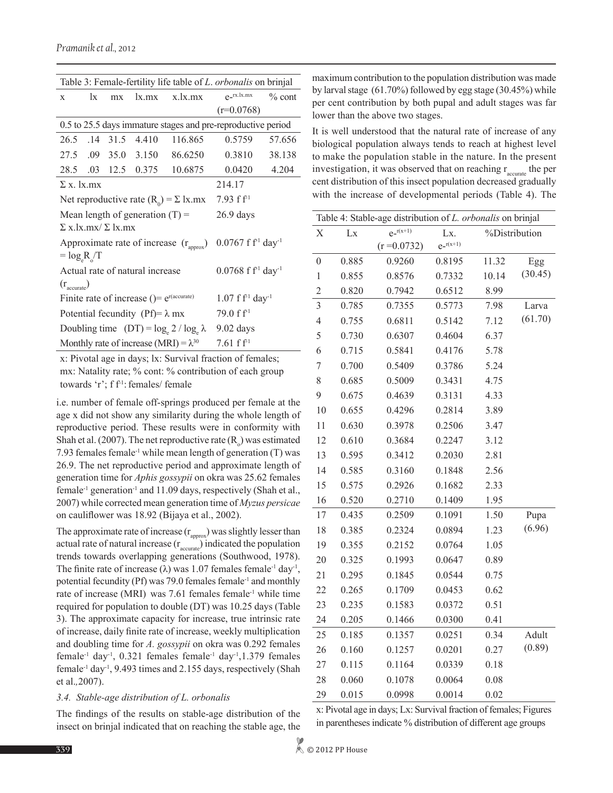| Table 3: Female-fertility life table of L. orbonalis on brinjal |    |      |                                              |                                              |                 |          |
|-----------------------------------------------------------------|----|------|----------------------------------------------|----------------------------------------------|-----------------|----------|
| X                                                               | lх | mx   | lx.max                                       | x.1x.mx                                      | $e^{-rx.lx,mx}$ | $%$ cont |
|                                                                 |    |      |                                              |                                              | $(r=0.0768)$    |          |
| 0.5 to 25.5 days immature stages and pre-reproductive period    |    |      |                                              |                                              |                 |          |
| 26.5 .14                                                        |    | 31.5 | 4.410                                        | 116.865                                      | 0.5759          | 57.656   |
|                                                                 |    |      | 27.5 .09 35.0 3.150                          | 86.6250                                      | 0.3810          | 38.138   |
|                                                                 |    |      | 28.5 .03 12.5 0.375                          | 10.6875                                      | 0.0420          | 4.204    |
| $\Sigma$ x. lx.mx                                               |    |      |                                              | 214.17                                       |                 |          |
| Net reproductive rate $(R_0) = \Sigma$ lx.mx                    |    |      | $7.93$ f f <sup>-1</sup>                     |                                              |                 |          |
| Mean length of generation $(T)$ =                               |    |      | $26.9$ days                                  |                                              |                 |          |
| $\Sigma$ x lx mx/ $\Sigma$ lx mx                                |    |      |                                              |                                              |                 |          |
| Approximate rate of increase $(r_{\text{approx}})$              |    |      | $0.0767$ f f <sup>-1</sup> day <sup>-1</sup> |                                              |                 |          |
| $=$ $\log_e R / T$                                              |    |      |                                              |                                              |                 |          |
| Actual rate of natural increase                                 |    |      |                                              | $0.0768$ f f <sup>-1</sup> day <sup>-1</sup> |                 |          |
| $(r_{\text{accurate}})$                                         |    |      |                                              |                                              |                 |          |
| Finite rate of increase ()= $e^{r(\text{accurate})}$            |    |      |                                              | $1.07$ f f <sup>-1</sup> day <sup>-1</sup>   |                 |          |
| Potential fecundity (Pf)= $\lambda$ mx                          |    |      |                                              | 79.0 f f <sup>1</sup>                        |                 |          |
| Doubling time $(DT) = log_e 2 / log_e \lambda$                  |    |      |                                              | $9.02$ days                                  |                 |          |
| Monthly rate of increase (MRI) = $\lambda^{30}$                 |    |      |                                              | $7.61~f f^{-1}$                              |                 |          |

x: Pivotal age in days; lx: Survival fraction of females; mx: Natality rate; % cont: % contribution of each group towards 'r'; f  $f<sup>1</sup>$ : females/ female

i.e. number of female off-springs produced per female at the age x did not show any similarity during the whole length of reproductive period. These results were in conformity with Shah et al. (2007). The net reproductive rate  $(R_0)$  was estimated 7.93 females female<sup>-1</sup> while mean length of generation  $(T)$  was 26.9. The net reproductive period and approximate length of generation time for *Aphis gossypii* on okra was 25.62 females female-1 generation-1 and 11.09 days, respectively (Shah et al., 2007) while corrected mean generation time of *Myzus persicae* on cauliflower was 18.92 (Bijaya et al., 2002).

The approximate rate of increase  $(r_{\text{approx}})$  was slightly lesser than actual rate of natural increase  $(r_{\text{accurate}})$  indicated the population trends towards overlapping generations (Southwood, 1978). The finite rate of increase ( $\lambda$ ) was 1.07 females female<sup>-1</sup> day<sup>-1</sup>, potential fecundity (Pf) was 79.0 females female-1 and monthly rate of increase (MRI) was 7.61 females female<sup>-1</sup> while time required for population to double (DT) was 10.25 days (Table 3). The approximate capacity for increase, true intrinsic rate of increase, daily finite rate of increase, weekly multiplication and doubling time for *A. gossypii* on okra was 0.292 females female-1 day-1, 0.321 females female-1 day-1,1.379 females female<sup>-1</sup> day<sup>-1</sup>, 9.493 times and 2.155 days, respectively (Shah et al.*,*2007).

#### *3.4. Stable-age distribution of L. orbonalis*

The findings of the results on stable-age distribution of the insect on brinjal indicated that on reaching the stable age, the

maximum contribution to the population distribution was made by larval stage (61.70%) followed by egg stage (30.45%) while per cent contribution by both pupal and adult stages was far lower than the above two stages.

It is well understood that the natural rate of increase of any biological population always tends to reach at highest level to make the population stable in the nature. In the present investigation, it was observed that on reaching  $r_{\text{accurate}}$  the per cent distribution of this insect population decreased gradually with the increase of developmental periods (Table 4). The

| Table 4: Stable-age distribution of <i>L. orbonalis</i> on brinjal |       |                |               |               |         |  |
|--------------------------------------------------------------------|-------|----------------|---------------|---------------|---------|--|
| X                                                                  | Lx    | $e^{-r(x+1)}$  | Lx.           | %Distribution |         |  |
|                                                                    |       | $(r = 0.0732)$ | $e^{-r(x+1)}$ |               |         |  |
| $\boldsymbol{0}$                                                   | 0.885 | 0.9260         | 0.8195        | 11.32         | Egg     |  |
| 1                                                                  | 0.855 | 0.8576         | 0.7332        | 10.14         | (30.45) |  |
| $\overline{2}$                                                     | 0.820 | 0.7942         | 0.6512        | 8.99          |         |  |
| 3                                                                  | 0.785 | 0.7355         | 0.5773        | 7.98          | Larva   |  |
| $\overline{4}$                                                     | 0.755 | 0.6811         | 0.5142        | 7.12          | (61.70) |  |
| 5                                                                  | 0.730 | 0.6307         | 0.4604        | 6.37          |         |  |
| 6                                                                  | 0.715 | 0.5841         | 0.4176        | 5.78          |         |  |
| 7                                                                  | 0.700 | 0.5409         | 0.3786        | 5.24          |         |  |
| 8                                                                  | 0.685 | 0.5009         | 0.3431        | 4.75          |         |  |
| 9                                                                  | 0.675 | 0.4639         | 0.3131        | 4.33          |         |  |
| 10                                                                 | 0.655 | 0.4296         | 0.2814        | 3.89          |         |  |
| 11                                                                 | 0.630 | 0.3978         | 0.2506        | 3.47          |         |  |
| 12                                                                 | 0.610 | 0.3684         | 0.2247        | 3.12          |         |  |
| 13                                                                 | 0.595 | 0.3412         | 0.2030        | 2.81          |         |  |
| 14                                                                 | 0.585 | 0.3160         | 0.1848        | 2.56          |         |  |
| 15                                                                 | 0.575 | 0.2926         | 0.1682        | 2.33          |         |  |
| 16                                                                 | 0.520 | 0.2710         | 0.1409        | 1.95          |         |  |
| 17                                                                 | 0.435 | 0.2509         | 0.1091        | 1.50          | Pupa    |  |
| 18                                                                 | 0.385 | 0.2324         | 0.0894        | 1.23          | (6.96)  |  |
| 19                                                                 | 0.355 | 0.2152         | 0.0764        | 1.05          |         |  |
| 20                                                                 | 0.325 | 0.1993         | 0.0647        | 0.89          |         |  |
| 21                                                                 | 0.295 | 0.1845         | 0.0544        | 0.75          |         |  |
| 22                                                                 | 0.265 | 0.1709         | 0.0453        | 0.62          |         |  |
| 23                                                                 | 0.235 | 0.1583         | 0.0372        | 0.51          |         |  |
| 24                                                                 | 0.205 | 0.1466         | 0.0300        | 0.41          |         |  |
| 25                                                                 | 0.185 | 0.1357         | 0.0251        | 0.34          | Adult   |  |
| 26                                                                 | 0.160 | 0.1257         | 0.0201        | 0.27          | (0.89)  |  |
| 27                                                                 | 0.115 | 0.1164         | 0.0339        | 0.18          |         |  |
| 28                                                                 | 0.060 | 0.1078         | 0.0064        | 0.08          |         |  |
| 29                                                                 | 0.015 | 0.0998         | 0.0014        | 0.02          |         |  |

x: Pivotal age in days; Lx: Survival fraction of females; Figures in parentheses indicate % distribution of different age groups